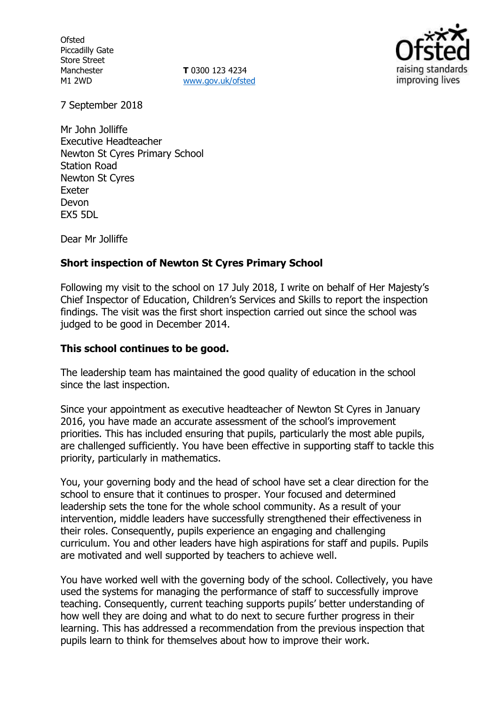**Ofsted** Piccadilly Gate Store Street Manchester M1 2WD

**T** 0300 123 4234 www.gov.uk/ofsted



7 September 2018

Mr John Jolliffe Executive Headteacher Newton St Cyres Primary School Station Road Newton St Cyres Exeter Devon EX5 5DL

Dear Mr Jolliffe

### **Short inspection of Newton St Cyres Primary School**

Following my visit to the school on 17 July 2018, I write on behalf of Her Majesty's Chief Inspector of Education, Children's Services and Skills to report the inspection findings. The visit was the first short inspection carried out since the school was judged to be good in December 2014.

#### **This school continues to be good.**

The leadership team has maintained the good quality of education in the school since the last inspection.

Since your appointment as executive headteacher of Newton St Cyres in January 2016, you have made an accurate assessment of the school's improvement priorities. This has included ensuring that pupils, particularly the most able pupils, are challenged sufficiently. You have been effective in supporting staff to tackle this priority, particularly in mathematics.

You, your governing body and the head of school have set a clear direction for the school to ensure that it continues to prosper. Your focused and determined leadership sets the tone for the whole school community. As a result of your intervention, middle leaders have successfully strengthened their effectiveness in their roles. Consequently, pupils experience an engaging and challenging curriculum. You and other leaders have high aspirations for staff and pupils. Pupils are motivated and well supported by teachers to achieve well.

You have worked well with the governing body of the school. Collectively, you have used the systems for managing the performance of staff to successfully improve teaching. Consequently, current teaching supports pupils' better understanding of how well they are doing and what to do next to secure further progress in their learning. This has addressed a recommendation from the previous inspection that pupils learn to think for themselves about how to improve their work.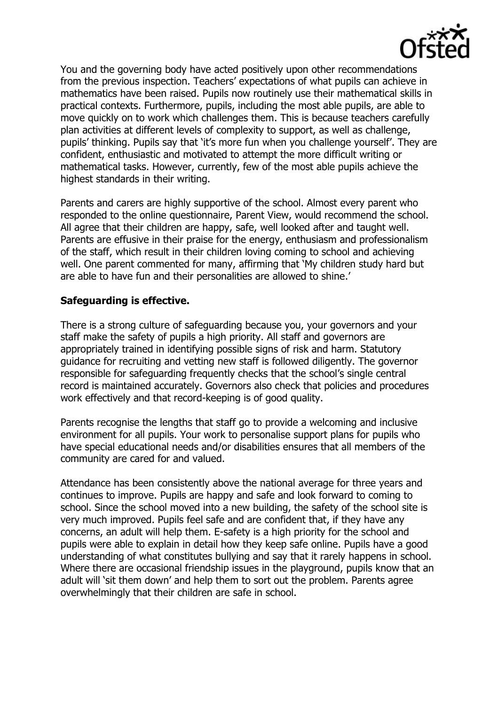

You and the governing body have acted positively upon other recommendations from the previous inspection. Teachers' expectations of what pupils can achieve in mathematics have been raised. Pupils now routinely use their mathematical skills in practical contexts. Furthermore, pupils, including the most able pupils, are able to move quickly on to work which challenges them. This is because teachers carefully plan activities at different levels of complexity to support, as well as challenge, pupils' thinking. Pupils say that 'it's more fun when you challenge yourself'. They are confident, enthusiastic and motivated to attempt the more difficult writing or mathematical tasks. However, currently, few of the most able pupils achieve the highest standards in their writing.

Parents and carers are highly supportive of the school. Almost every parent who responded to the online questionnaire, Parent View, would recommend the school. All agree that their children are happy, safe, well looked after and taught well. Parents are effusive in their praise for the energy, enthusiasm and professionalism of the staff, which result in their children loving coming to school and achieving well. One parent commented for many, affirming that 'My children study hard but are able to have fun and their personalities are allowed to shine.'

## **Safeguarding is effective.**

There is a strong culture of safeguarding because you, your governors and your staff make the safety of pupils a high priority. All staff and governors are appropriately trained in identifying possible signs of risk and harm. Statutory guidance for recruiting and vetting new staff is followed diligently. The governor responsible for safeguarding frequently checks that the school's single central record is maintained accurately. Governors also check that policies and procedures work effectively and that record-keeping is of good quality.

Parents recognise the lengths that staff go to provide a welcoming and inclusive environment for all pupils. Your work to personalise support plans for pupils who have special educational needs and/or disabilities ensures that all members of the community are cared for and valued.

Attendance has been consistently above the national average for three years and continues to improve. Pupils are happy and safe and look forward to coming to school. Since the school moved into a new building, the safety of the school site is very much improved. Pupils feel safe and are confident that, if they have any concerns, an adult will help them. E-safety is a high priority for the school and pupils were able to explain in detail how they keep safe online. Pupils have a good understanding of what constitutes bullying and say that it rarely happens in school. Where there are occasional friendship issues in the playground, pupils know that an adult will 'sit them down' and help them to sort out the problem. Parents agree overwhelmingly that their children are safe in school.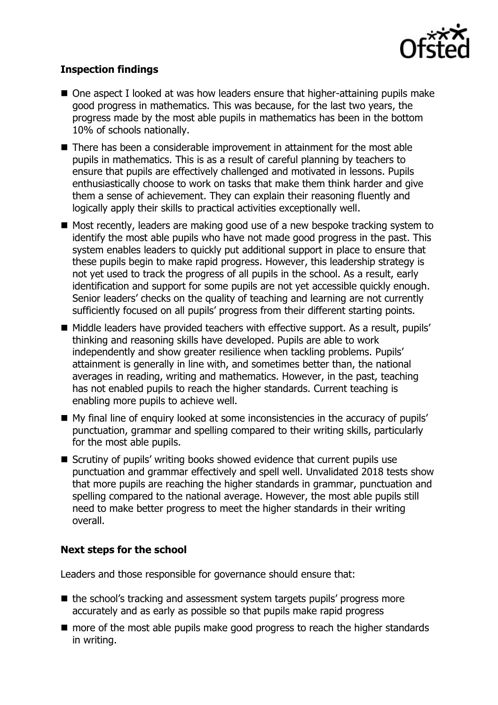

# **Inspection findings**

- One aspect I looked at was how leaders ensure that higher-attaining pupils make good progress in mathematics. This was because, for the last two years, the progress made by the most able pupils in mathematics has been in the bottom 10% of schools nationally.
- There has been a considerable improvement in attainment for the most able pupils in mathematics. This is as a result of careful planning by teachers to ensure that pupils are effectively challenged and motivated in lessons. Pupils enthusiastically choose to work on tasks that make them think harder and give them a sense of achievement. They can explain their reasoning fluently and logically apply their skills to practical activities exceptionally well.
- Most recently, leaders are making good use of a new bespoke tracking system to identify the most able pupils who have not made good progress in the past. This system enables leaders to quickly put additional support in place to ensure that these pupils begin to make rapid progress. However, this leadership strategy is not yet used to track the progress of all pupils in the school. As a result, early identification and support for some pupils are not yet accessible quickly enough. Senior leaders' checks on the quality of teaching and learning are not currently sufficiently focused on all pupils' progress from their different starting points.
- Middle leaders have provided teachers with effective support. As a result, pupils' thinking and reasoning skills have developed. Pupils are able to work independently and show greater resilience when tackling problems. Pupils' attainment is generally in line with, and sometimes better than, the national averages in reading, writing and mathematics. However, in the past, teaching has not enabled pupils to reach the higher standards. Current teaching is enabling more pupils to achieve well.
- My final line of enquiry looked at some inconsistencies in the accuracy of pupils' punctuation, grammar and spelling compared to their writing skills, particularly for the most able pupils.
- Scrutiny of pupils' writing books showed evidence that current pupils use punctuation and grammar effectively and spell well. Unvalidated 2018 tests show that more pupils are reaching the higher standards in grammar, punctuation and spelling compared to the national average. However, the most able pupils still need to make better progress to meet the higher standards in their writing overall.

### **Next steps for the school**

Leaders and those responsible for governance should ensure that:

- the school's tracking and assessment system targets pupils' progress more accurately and as early as possible so that pupils make rapid progress
- more of the most able pupils make good progress to reach the higher standards in writing.